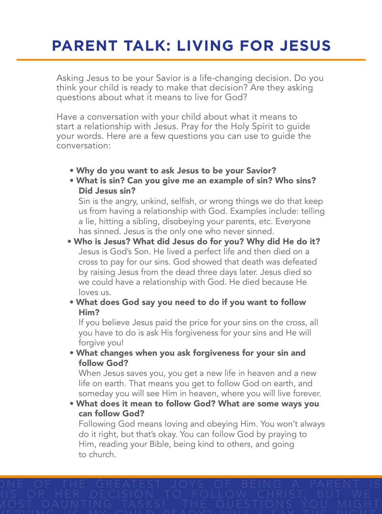## **PARENT TALK: LIVING FOR JESUS**

Asking Jesus to be your Savior is a life-changing decision. Do you think your child is ready to make that decision? Are they asking questions about what it means to live for God?

Have a conversation with your child about what it means to start a relationship with Jesus. Pray for the Holy Spirit to guide your words. Here are a few questions you can use to guide the conversation:

- Why do you want to ask Jesus to be your Savior?
- What is sin? Can you give me an example of sin? Who sins? Did Jesus sin?

Sin is the angry, unkind, selfish, or wrong things we do that keep us from having a relationship with God. Examples include: telling a lie, hitting a sibling, disobeying your parents, etc. Everyone has sinned. Jesus is the only one who never sinned.

- Who is Jesus? What did Jesus do for you? Why did He do it? Jesus is God's Son. He lived a perfect life and then died on a cross to pay for our sins. God showed that death was defeated by raising Jesus from the dead three days later. Jesus died so we could have a relationship with God. He died because He loves us.
- What does God say you need to do if you want to follow Him?

If you believe Jesus paid the price for your sins on the cross, all you have to do is ask His forgiveness for your sins and He will forgive you!

 • What changes when you ask forgiveness for your sin and follow God?

When Jesus saves you, you get a new life in heaven and a new life on earth. That means you get to follow God on earth, and someday you will see Him in heaven, where you will live forever.

 • What does it mean to follow God? What are some ways you can follow God?

Following God means loving and obeying Him. You won't always do it right, but that's okay. You can follow God by praying to Him, reading your Bible, being kind to others, and going to church.